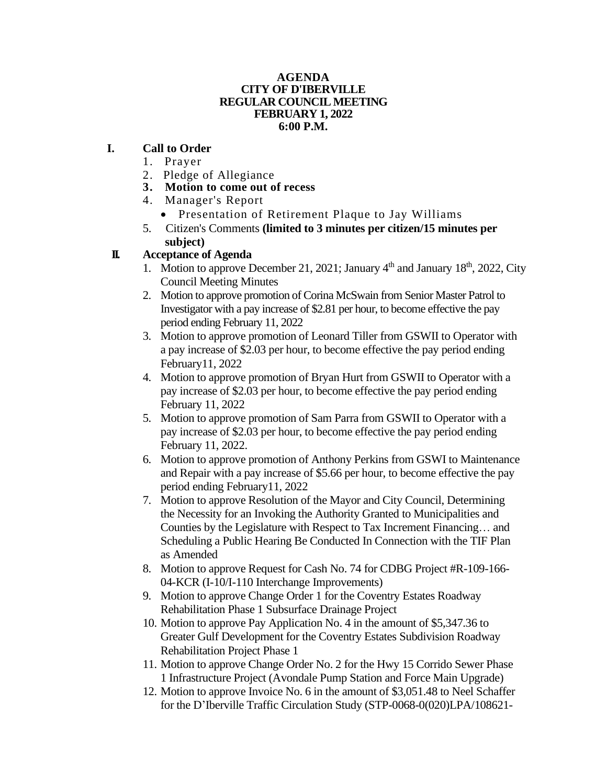#### **AGENDA CITY OF D'IBERVILLE REGULAR COUNCIL MEETING FEBRUARY 1, 2022 6:00 P.M.**

## **I. Call to Order**

- 1. Prayer
- 2. Pledge of Allegiance
- **3. Motion to come out of recess**
- 4. Manager's Report
	- Presentation of Retirement Plaque to Jay Williams
- 5. Citizen's Comments **(limited to 3 minutes per citizen/15 minutes per subject)**

# **II. Acceptance of Agenda**

- 1. Motion to approve December 21, 2021; January  $4<sup>th</sup>$  and January 18<sup>th</sup>, 2022, City Council Meeting Minutes
- 2. Motion to approve promotion of Corina McSwain from Senior Master Patrol to Investigator with a pay increase of \$2.81 per hour, to become effective the pay period ending February 11, 2022
- 3. Motion to approve promotion of Leonard Tiller from GSWII to Operator with a pay increase of \$2.03 per hour, to become effective the pay period ending February11, 2022
- 4. Motion to approve promotion of Bryan Hurt from GSWII to Operator with a pay increase of \$2.03 per hour, to become effective the pay period ending February 11, 2022
- 5. Motion to approve promotion of Sam Parra from GSWII to Operator with a pay increase of \$2.03 per hour, to become effective the pay period ending February 11, 2022.
- 6. Motion to approve promotion of Anthony Perkins from GSWI to Maintenance and Repair with a pay increase of \$5.66 per hour, to become effective the pay period ending February11, 2022
- 7. Motion to approve Resolution of the Mayor and City Council, Determining the Necessity for an Invoking the Authority Granted to Municipalities and Counties by the Legislature with Respect to Tax Increment Financing… and Scheduling a Public Hearing Be Conducted In Connection with the TIF Plan as Amended
- 8. Motion to approve Request for Cash No. 74 for CDBG Project #R-109-166- 04-KCR (I-10/I-110 Interchange Improvements)
- 9. Motion to approve Change Order 1 for the Coventry Estates Roadway Rehabilitation Phase 1 Subsurface Drainage Project
- 10. Motion to approve Pay Application No. 4 in the amount of \$5,347.36 to Greater Gulf Development for the Coventry Estates Subdivision Roadway Rehabilitation Project Phase 1
- 11. Motion to approve Change Order No. 2 for the Hwy 15 Corrido Sewer Phase 1 Infrastructure Project (Avondale Pump Station and Force Main Upgrade)
- 12. Motion to approve Invoice No. 6 in the amount of \$3,051.48 to Neel Schaffer for the D'Iberville Traffic Circulation Study (STP-0068-0(020)LPA/108621-